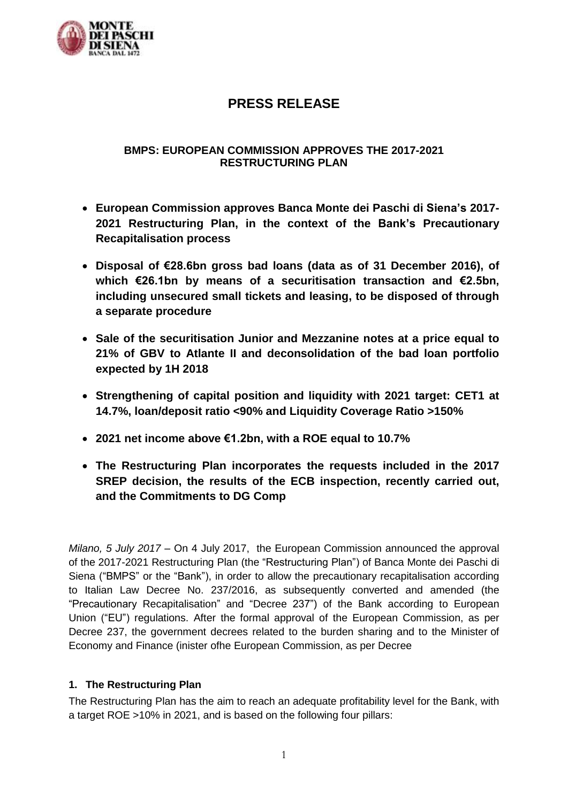

# **PRESS RELEASE**

# **BMPS: EUROPEAN COMMISSION APPROVES THE 2017-2021 RESTRUCTURING PLAN**

- **European Commission approves Banca Monte dei Paschi di Siena's 2017- 2021 Restructuring Plan, in the context of the Bank's Precautionary Recapitalisation process**
- **Disposal of €28.6bn gross bad loans (data as of 31 December 2016), of which €26.1bn by means of a securitisation transaction and €2.5bn, including unsecured small tickets and leasing, to be disposed of through a separate procedure**
- **Sale of the securitisation Junior and Mezzanine notes at a price equal to 21% of GBV to Atlante II and deconsolidation of the bad loan portfolio expected by 1H 2018**
- **Strengthening of capital position and liquidity with 2021 target: CET1 at 14.7%, loan/deposit ratio <90% and Liquidity Coverage Ratio >150%**
- **2021 net income above €1.2bn, with a ROE equal to 10.7%**
- **The Restructuring Plan incorporates the requests included in the 2017 SREP decision, the results of the ECB inspection, recently carried out, and the Commitments to DG Comp**

*Milano, 5 July 2017* – On 4 July 2017, the European Commission announced the approval of the 2017-2021 Restructuring Plan (the "Restructuring Plan") of Banca Monte dei Paschi di Siena ("BMPS" or the "Bank"), in order to allow the precautionary recapitalisation according to Italian Law Decree No. 237/2016, as subsequently converted and amended (the "Precautionary Recapitalisation" and "Decree 237") of the Bank according to European Union ("EU") regulations. After the formal approval of the European Commission, as per Decree 237, the government decrees related to the burden sharing and to the Minister of Economy and Finance (inister ofhe European Commission, as per Decree

# **1. The Restructuring Plan**

The Restructuring Plan has the aim to reach an adequate profitability level for the Bank, with a target ROE >10% in 2021, and is based on the following four pillars: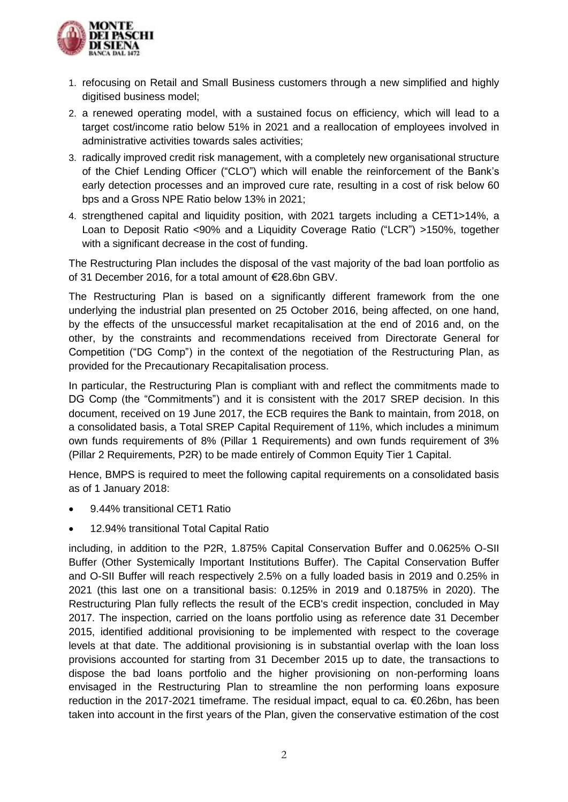

- 1. refocusing on Retail and Small Business customers through a new simplified and highly digitised business model;
- 2. a renewed operating model, with a sustained focus on efficiency, which will lead to a target cost/income ratio below 51% in 2021 and a reallocation of employees involved in administrative activities towards sales activities;
- 3. radically improved credit risk management, with a completely new organisational structure of the Chief Lending Officer ("CLO") which will enable the reinforcement of the Bank's early detection processes and an improved cure rate, resulting in a cost of risk below 60 bps and a Gross NPE Ratio below 13% in 2021;
- 4. strengthened capital and liquidity position, with 2021 targets including a CET1>14%, a Loan to Deposit Ratio <90% and a Liquidity Coverage Ratio ("LCR") >150%, together with a significant decrease in the cost of funding.

The Restructuring Plan includes the disposal of the vast majority of the bad loan portfolio as of 31 December 2016, for a total amount of €28.6bn GBV.

The Restructuring Plan is based on a significantly different framework from the one underlying the industrial plan presented on 25 October 2016, being affected, on one hand, by the effects of the unsuccessful market recapitalisation at the end of 2016 and, on the other, by the constraints and recommendations received from Directorate General for Competition ("DG Comp") in the context of the negotiation of the Restructuring Plan, as provided for the Precautionary Recapitalisation process.

In particular, the Restructuring Plan is compliant with and reflect the commitments made to DG Comp (the "Commitments") and it is consistent with the 2017 SREP decision. In this document, received on 19 June 2017, the ECB requires the Bank to maintain, from 2018, on a consolidated basis, a Total SREP Capital Requirement of 11%, which includes a minimum own funds requirements of 8% (Pillar 1 Requirements) and own funds requirement of 3% (Pillar 2 Requirements, P2R) to be made entirely of Common Equity Tier 1 Capital.

Hence, BMPS is required to meet the following capital requirements on a consolidated basis as of 1 January 2018:

- 9.44% transitional CET1 Ratio
- 12.94% transitional Total Capital Ratio

including, in addition to the P2R, 1.875% Capital Conservation Buffer and 0.0625% O-SII Buffer (Other Systemically Important Institutions Buffer). The Capital Conservation Buffer and O-SII Buffer will reach respectively 2.5% on a fully loaded basis in 2019 and 0.25% in 2021 (this last one on a transitional basis: 0.125% in 2019 and 0.1875% in 2020). The Restructuring Plan fully reflects the result of the ECB's credit inspection, concluded in May 2017. The inspection, carried on the loans portfolio using as reference date 31 December 2015, identified additional provisioning to be implemented with respect to the coverage levels at that date. The additional provisioning is in substantial overlap with the loan loss provisions accounted for starting from 31 December 2015 up to date, the transactions to dispose the bad loans portfolio and the higher provisioning on non-performing loans envisaged in the Restructuring Plan to streamline the non performing loans exposure reduction in the 2017-2021 timeframe. The residual impact, equal to ca. €0.26bn, has been taken into account in the first years of the Plan, given the conservative estimation of the cost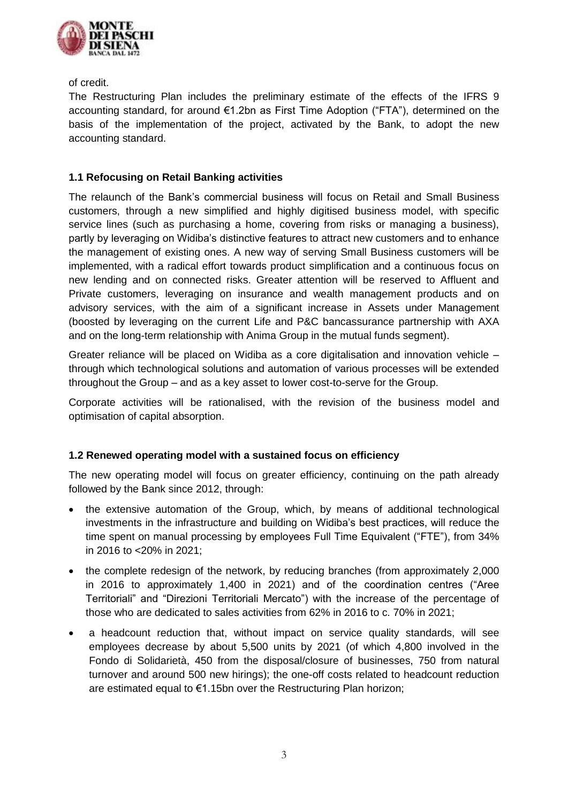

of credit.

The Restructuring Plan includes the preliminary estimate of the effects of the IFRS 9 accounting standard, for around €1.2bn as First Time Adoption ("FTA"), determined on the basis of the implementation of the project, activated by the Bank, to adopt the new accounting standard.

# **1.1 Refocusing on Retail Banking activities**

The relaunch of the Bank's commercial business will focus on Retail and Small Business customers, through a new simplified and highly digitised business model, with specific service lines (such as purchasing a home, covering from risks or managing a business), partly by leveraging on Widiba's distinctive features to attract new customers and to enhance the management of existing ones. A new way of serving Small Business customers will be implemented, with a radical effort towards product simplification and a continuous focus on new lending and on connected risks. Greater attention will be reserved to Affluent and Private customers, leveraging on insurance and wealth management products and on advisory services, with the aim of a significant increase in Assets under Management (boosted by leveraging on the current Life and P&C bancassurance partnership with AXA and on the long-term relationship with Anima Group in the mutual funds segment).

Greater reliance will be placed on Widiba as a core digitalisation and innovation vehicle – through which technological solutions and automation of various processes will be extended throughout the Group – and as a key asset to lower cost-to-serve for the Group.

Corporate activities will be rationalised, with the revision of the business model and optimisation of capital absorption.

# **1.2 Renewed operating model with a sustained focus on efficiency**

The new operating model will focus on greater efficiency, continuing on the path already followed by the Bank since 2012, through:

- the extensive automation of the Group, which, by means of additional technological investments in the infrastructure and building on Widiba's best practices, will reduce the time spent on manual processing by employees Full Time Equivalent ("FTE"), from 34% in 2016 to <20% in 2021;
- the complete redesign of the network, by reducing branches (from approximately 2,000 in 2016 to approximately 1,400 in 2021) and of the coordination centres ("Aree Territoriali" and "Direzioni Territoriali Mercato") with the increase of the percentage of those who are dedicated to sales activities from 62% in 2016 to c. 70% in 2021;
- a headcount reduction that, without impact on service quality standards, will see employees decrease by about 5,500 units by 2021 (of which 4,800 involved in the Fondo di Solidarietà, 450 from the disposal/closure of businesses, 750 from natural turnover and around 500 new hirings); the one-off costs related to headcount reduction are estimated equal to €1.15bn over the Restructuring Plan horizon;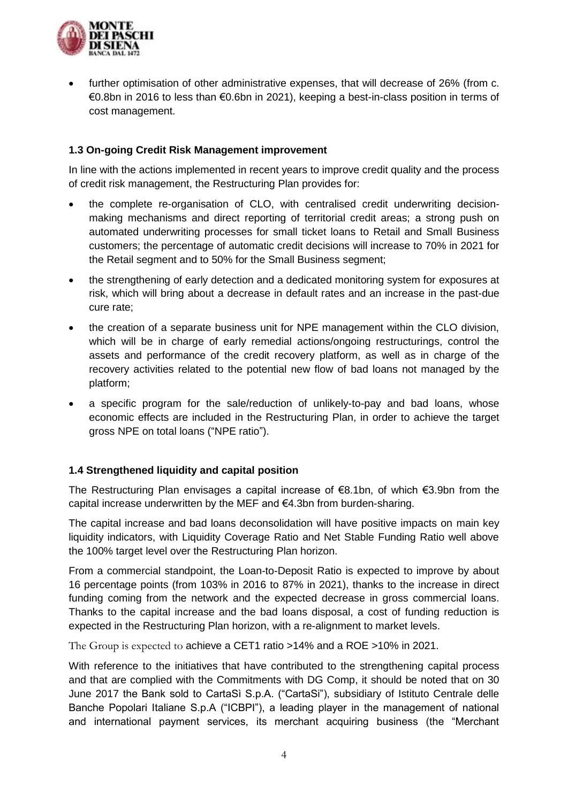

 further optimisation of other administrative expenses, that will decrease of 26% (from c. €0.8bn in 2016 to less than €0.6bn in 2021), keeping a best-in-class position in terms of cost management.

#### **1.3 On-going Credit Risk Management improvement**

In line with the actions implemented in recent years to improve credit quality and the process of credit risk management, the Restructuring Plan provides for:

- the complete re-organisation of CLO, with centralised credit underwriting decisionmaking mechanisms and direct reporting of territorial credit areas; a strong push on automated underwriting processes for small ticket loans to Retail and Small Business customers; the percentage of automatic credit decisions will increase to 70% in 2021 for the Retail segment and to 50% for the Small Business segment;
- the strengthening of early detection and a dedicated monitoring system for exposures at risk, which will bring about a decrease in default rates and an increase in the past-due cure rate;
- the creation of a separate business unit for NPE management within the CLO division, which will be in charge of early remedial actions/ongoing restructurings, control the assets and performance of the credit recovery platform, as well as in charge of the recovery activities related to the potential new flow of bad loans not managed by the platform;
- a specific program for the sale/reduction of unlikely-to-pay and bad loans, whose economic effects are included in the Restructuring Plan, in order to achieve the target gross NPE on total loans ("NPE ratio").

#### **1.4 Strengthened liquidity and capital position**

The Restructuring Plan envisages a capital increase of €8.1bn, of which €3.9bn from the capital increase underwritten by the MEF and €4.3bn from burden-sharing.

The capital increase and bad loans deconsolidation will have positive impacts on main key liquidity indicators, with Liquidity Coverage Ratio and Net Stable Funding Ratio well above the 100% target level over the Restructuring Plan horizon.

From a commercial standpoint, the Loan-to-Deposit Ratio is expected to improve by about 16 percentage points (from 103% in 2016 to 87% in 2021), thanks to the increase in direct funding coming from the network and the expected decrease in gross commercial loans. Thanks to the capital increase and the bad loans disposal, a cost of funding reduction is expected in the Restructuring Plan horizon, with a re-alignment to market levels.

The Group is expected to achieve a CET1 ratio >14% and a ROE >10% in 2021.

With reference to the initiatives that have contributed to the strengthening capital process and that are complied with the Commitments with DG Comp, it should be noted that on 30 June 2017 the Bank sold to CartaSì S.p.A. ("CartaSi"), subsidiary of Istituto Centrale delle Banche Popolari Italiane S.p.A ("ICBPI"), a leading player in the management of national and international payment services, its merchant acquiring business (the "Merchant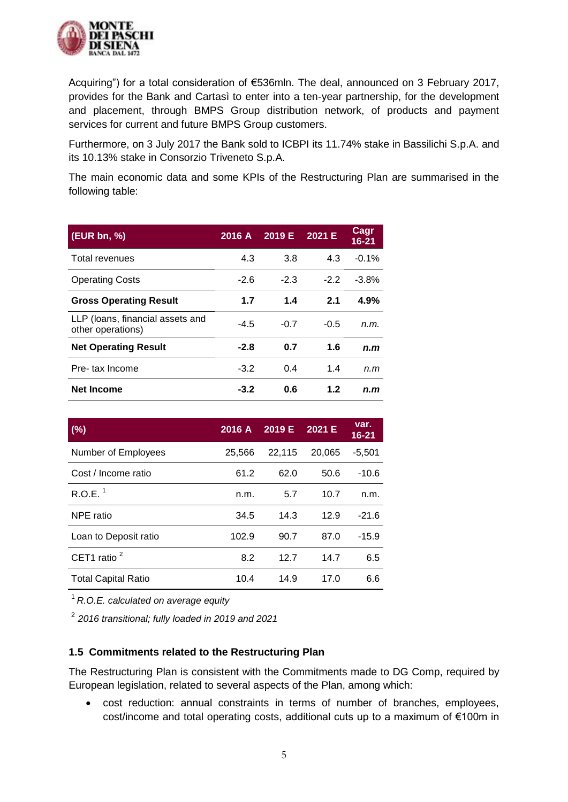

Acquiring") for a total consideration of €536mln. The deal, announced on 3 February 2017, provides for the Bank and Cartasì to enter into a ten-year partnership, for the development and placement, through BMPS Group distribution network, of products and payment services for current and future BMPS Group customers.

Furthermore, on 3 July 2017 the Bank sold to ICBPI its 11.74% stake in Bassilichi S.p.A. and its 10.13% stake in Consorzio Triveneto S.p.A.

The main economic data and some KPIs of the Restructuring Plan are summarised in the following table:

| (EUR bn, %)                                           | 2016 A | 2019 E | 2021 E | Cagr<br>16-21 |
|-------------------------------------------------------|--------|--------|--------|---------------|
| Total revenues                                        | 4.3    | 3.8    | 4.3    | $-0.1%$       |
| <b>Operating Costs</b>                                | $-2.6$ | $-2.3$ | $-2.2$ | $-3.8%$       |
| <b>Gross Operating Result</b>                         | 1.7    | 1.4    | 2.1    | 4.9%          |
| LLP (loans, financial assets and<br>other operations) | $-4.5$ | $-0.7$ | $-0.5$ | n.m.          |
| <b>Net Operating Result</b>                           | $-2.8$ | 0.7    | 1.6    | n.m           |
| Pre-tax Income                                        | $-3.2$ | 0.4    | 1.4    | n.m           |
| <b>Net Income</b>                                     | -3.2   | 0.6    | 1.2    | n.m           |

| (% )                       | 2016 A | 2019 E | 2021 E | var.<br>$16 - 21$ |
|----------------------------|--------|--------|--------|-------------------|
| Number of Employees        | 25,566 | 22,115 | 20,065 | $-5,501$          |
| Cost / Income ratio        | 61.2   | 62.0   | 50.6   | $-10.6$           |
| R.O.E. <sup>1</sup>        | n.m.   | 5.7    | 10.7   | n.m.              |
| NPE ratio                  | 34.5   | 14.3   | 12.9   | $-21.6$           |
| Loan to Deposit ratio      | 102.9  | 90.7   | 87.0   | $-15.9$           |
| CET1 ratio $2$             | 8.2    | 12.7   | 14.7   | 6.5               |
| <b>Total Capital Ratio</b> | 10.4   | 14.9   | 17.0   | 6.6               |

<sup>1</sup>*R.O.E. calculated on average equity* 

2 *2016 transitional; fully loaded in 2019 and 2021*

#### **1.5 Commitments related to the Restructuring Plan**

The Restructuring Plan is consistent with the Commitments made to DG Comp, required by European legislation, related to several aspects of the Plan, among which:

 cost reduction: annual constraints in terms of number of branches, employees, cost/income and total operating costs, additional cuts up to a maximum of €100m in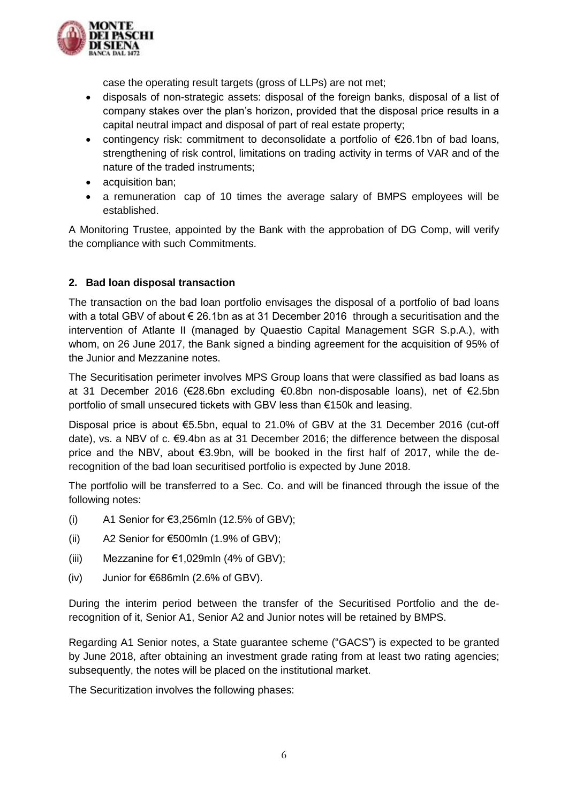

case the operating result targets (gross of LLPs) are not met;

- disposals of non-strategic assets: disposal of the foreign banks, disposal of a list of company stakes over the plan's horizon, provided that the disposal price results in a capital neutral impact and disposal of part of real estate property;
- contingency risk: commitment to deconsolidate a portfolio of €26.1bn of bad loans, strengthening of risk control, limitations on trading activity in terms of VAR and of the nature of the traded instruments;
- acquisition ban;
- a remuneration cap of 10 times the average salary of BMPS employees will be established.

A Monitoring Trustee, appointed by the Bank with the approbation of DG Comp, will verify the compliance with such Commitments.

# **2. Bad loan disposal transaction**

The transaction on the bad loan portfolio envisages the disposal of a portfolio of bad loans with a total GBV of about € 26.1bn as at 31 December 2016 through a securitisation and the intervention of Atlante II (managed by Quaestio Capital Management SGR S.p.A.), with whom, on 26 June 2017, the Bank signed a binding agreement for the acquisition of 95% of the Junior and Mezzanine notes.

The Securitisation perimeter involves MPS Group loans that were classified as bad loans as at 31 December 2016 (€28.6bn excluding €0.8bn non-disposable loans), net of €2.5bn portfolio of small unsecured tickets with GBV less than €150k and leasing.

Disposal price is about €5.5bn, equal to 21.0% of GBV at the 31 December 2016 (cut-off date), vs. a NBV of c.  $\epsilon$ 9.4bn as at 31 December 2016; the difference between the disposal price and the NBV, about €3.9bn, will be booked in the first half of 2017, while the derecognition of the bad loan securitised portfolio is expected by June 2018.

The portfolio will be transferred to a Sec. Co. and will be financed through the issue of the following notes:

- (i)  $A1$  Senior for  $\epsilon$ 3,256mln (12.5% of GBV);
- (ii) A2 Senior for  $€500$ mln  $(1.9\%$  of GBV);
- (iii) Mezzanine for  $\epsilon$ 1,029mln (4% of GBV);
- (iv) Junior for €686mln (2.6% of GBV).

During the interim period between the transfer of the Securitised Portfolio and the derecognition of it, Senior A1, Senior A2 and Junior notes will be retained by BMPS.

Regarding A1 Senior notes, a State guarantee scheme ("GACS") is expected to be granted by June 2018, after obtaining an investment grade rating from at least two rating agencies; subsequently, the notes will be placed on the institutional market.

The Securitization involves the following phases: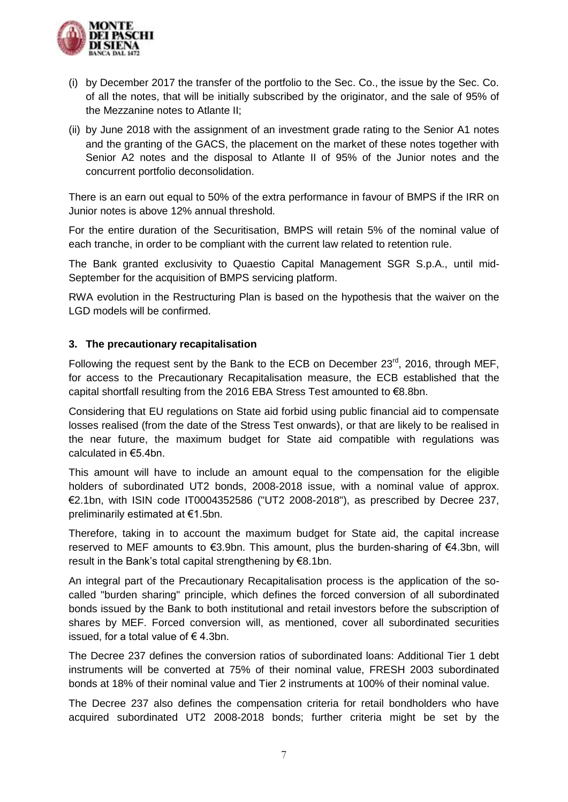

- (i) by December 2017 the transfer of the portfolio to the Sec. Co., the issue by the Sec. Co. of all the notes, that will be initially subscribed by the originator, and the sale of 95% of the Mezzanine notes to Atlante II;
- (ii) by June 2018 with the assignment of an investment grade rating to the Senior A1 notes and the granting of the GACS, the placement on the market of these notes together with Senior A2 notes and the disposal to Atlante II of 95% of the Junior notes and the concurrent portfolio deconsolidation.

There is an earn out equal to 50% of the extra performance in favour of BMPS if the IRR on Junior notes is above 12% annual threshold.

For the entire duration of the Securitisation, BMPS will retain 5% of the nominal value of each tranche, in order to be compliant with the current law related to retention rule.

The Bank granted exclusivity to Quaestio Capital Management SGR S.p.A., until mid-September for the acquisition of BMPS servicing platform.

RWA evolution in the Restructuring Plan is based on the hypothesis that the waiver on the LGD models will be confirmed.

#### **3. The precautionary recapitalisation**

Following the request sent by the Bank to the ECB on December 23rd, 2016, through MEF, for access to the Precautionary Recapitalisation measure, the ECB established that the capital shortfall resulting from the 2016 EBA Stress Test amounted to €8.8bn.

Considering that EU regulations on State aid forbid using public financial aid to compensate losses realised (from the date of the Stress Test onwards), or that are likely to be realised in the near future, the maximum budget for State aid compatible with regulations was calculated in €5.4bn.

This amount will have to include an amount equal to the compensation for the eligible holders of subordinated UT2 bonds, 2008-2018 issue, with a nominal value of approx. €2.1bn, with ISIN code IT0004352586 ("UT2 2008-2018"), as prescribed by Decree 237, preliminarily estimated at €1.5bn.

Therefore, taking in to account the maximum budget for State aid, the capital increase reserved to MEF amounts to €3.9bn. This amount, plus the burden-sharing of €4.3bn, will result in the Bank's total capital strengthening by €8.1bn.

An integral part of the Precautionary Recapitalisation process is the application of the socalled "burden sharing" principle, which defines the forced conversion of all subordinated bonds issued by the Bank to both institutional and retail investors before the subscription of shares by MEF. Forced conversion will, as mentioned, cover all subordinated securities issued, for a total value of  $\epsilon$  4.3bn.

The Decree 237 defines the conversion ratios of subordinated loans: Additional Tier 1 debt instruments will be converted at 75% of their nominal value, FRESH 2003 subordinated bonds at 18% of their nominal value and Tier 2 instruments at 100% of their nominal value.

The Decree 237 also defines the compensation criteria for retail bondholders who have acquired subordinated UT2 2008-2018 bonds; further criteria might be set by the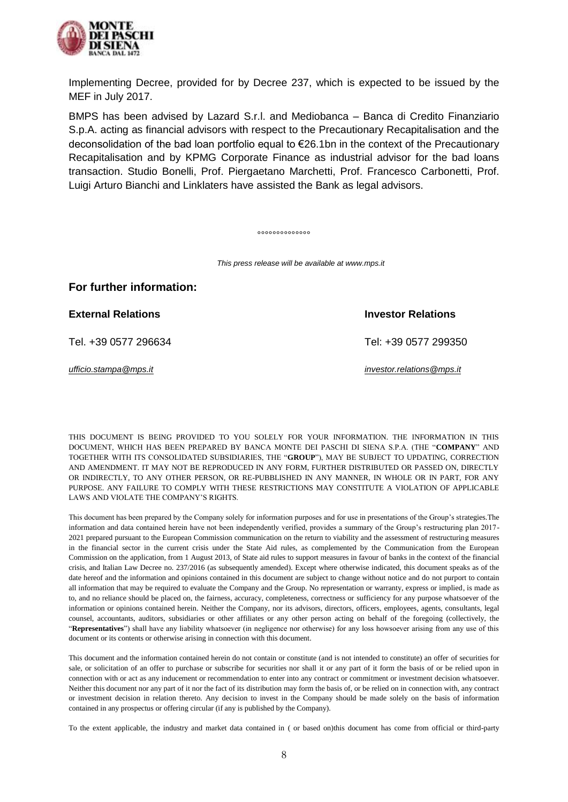

Implementing Decree, provided for by Decree 237, which is expected to be issued by the MEF in July 2017.

BMPS has been advised by Lazard S.r.l. and Mediobanca – Banca di Credito Finanziario S.p.A. acting as financial advisors with respect to the Precautionary Recapitalisation and the deconsolidation of the bad loan portfolio equal to €26.1bn in the context of the Precautionary Recapitalisation and by KPMG Corporate Finance as industrial advisor for the bad loans transaction. Studio Bonelli, Prof. Piergaetano Marchetti, Prof. Francesco Carbonetti, Prof. Luigi Arturo Bianchi and Linklaters have assisted the Bank as legal advisors.

°°°°°°°°°°°°°°

*This press release will be available at www.mps.it*

**External Relations Investor Relations** 

Tel. +39 0577 296634 Tel: +39 0577 299350

*[ufficio.stampa@mps.it](mailto:ufficio.stampa@mps.it) [investor.relations@mps.it](mailto:investor.relations@mps.it)*

THIS DOCUMENT IS BEING PROVIDED TO YOU SOLELY FOR YOUR INFORMATION. THE INFORMATION IN THIS DOCUMENT, WHICH HAS BEEN PREPARED BY BANCA MONTE DEI PASCHI DI SIENA S.P.A. (THE "**COMPANY**" AND TOGETHER WITH ITS CONSOLIDATED SUBSIDIARIES, THE "**GROUP**"), MAY BE SUBJECT TO UPDATING, CORRECTION AND AMENDMENT. IT MAY NOT BE REPRODUCED IN ANY FORM, FURTHER DISTRIBUTED OR PASSED ON, DIRECTLY OR INDIRECTLY, TO ANY OTHER PERSON, OR RE-PUBBLISHED IN ANY MANNER, IN WHOLE OR IN PART, FOR ANY PURPOSE. ANY FAILURE TO COMPLY WITH THESE RESTRICTIONS MAY CONSTITUTE A VIOLATION OF APPLICABLE LAWS AND VIOLATE THE COMPANY'S RIGHTS.

This document has been prepared by the Company solely for information purposes and for use in presentations of the Group's strategies.The information and data contained herein have not been independently verified, provides a summary of the Group's restructuring plan 2017- 2021 prepared pursuant to the European Commission communication on the return to viability and the assessment of restructuring measures in the financial sector in the current crisis under the State Aid rules, as complemented by the Communication from the European Commission on the application, from 1 August 2013, of State aid rules to support measures in favour of banks in the context of the financial crisis, and Italian Law Decree no. 237/2016 (as subsequently amended). Except where otherwise indicated, this document speaks as of the date hereof and the information and opinions contained in this document are subject to change without notice and do not purport to contain all information that may be required to evaluate the Company and the Group. No representation or warranty, express or implied, is made as to, and no reliance should be placed on, the fairness, accuracy, completeness, correctness or sufficiency for any purpose whatsoever of the information or opinions contained herein. Neither the Company, nor its advisors, directors, officers, employees, agents, consultants, legal counsel, accountants, auditors, subsidiaries or other affiliates or any other person acting on behalf of the foregoing (collectively, the "**Representatives**") shall have any liability whatsoever (in negligence nor otherwise) for any loss howsoever arising from any use of this document or its contents or otherwise arising in connection with this document.

This document and the information contained herein do not contain or constitute (and is not intended to constitute) an offer of securities for sale, or solicitation of an offer to purchase or subscribe for securities nor shall it or any part of it form the basis of or be relied upon in connection with or act as any inducement or recommendation to enter into any contract or commitment or investment decision whatsoever. Neither this document nor any part of it nor the fact of its distribution may form the basis of, or be relied on in connection with, any contract or investment decision in relation thereto. Any decision to invest in the Company should be made solely on the basis of information contained in any prospectus or offering circular (if any is published by the Company).

To the extent applicable, the industry and market data contained in ( or based on)this document has come from official or third-party